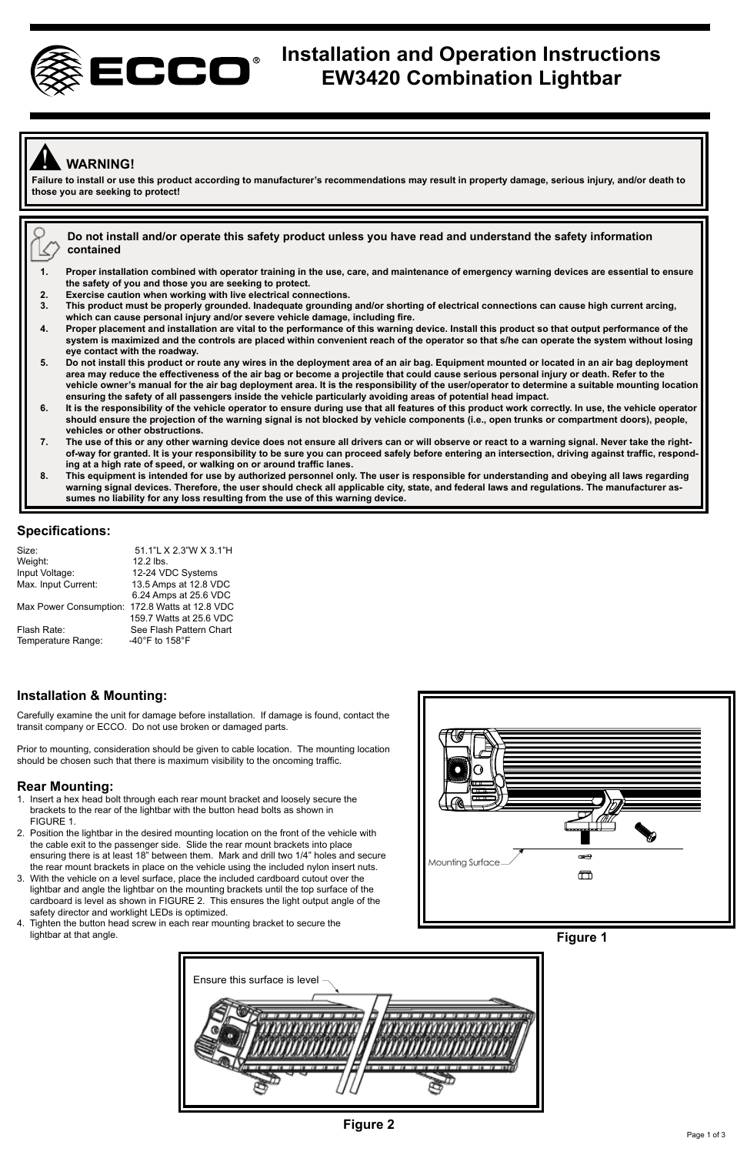

# **Installation and Operation Instructions EW3420 Combination Lightbar**

# ! **WARNING!**

**Failure to install or use this product according to manufacturer's recommendations may result in property damage, serious injury, and/or death to those you are seeking to protect!** 

**Do not install and/or operate this safety product unless you have read and understand the safety information contained** 

- **1. Proper installation combined with operator training in the use, care, and maintenance of emergency warning devices are essential to ensure the safety of you and those you are seeking to protect.**
- **2. Exercise caution when working with live electrical connections.**
- **3. This product must be properly grounded. Inadequate grounding and/or shorting of electrical connections can cause high current arcing, which can cause personal injury and/or severe vehicle damage, including fire.**
- **4. Proper placement and installation are vital to the performance of this warning device. Install this product so that output performance of the system is maximized and the controls are placed within convenient reach of the operator so that s/he can operate the system without losing eye contact with the roadway.**
- 5. Do not install this product or route any wires in the deployment area of an air bag. Equipment mounted or located in an air bag deployment<br>area may reduce the effectiveness of the air bag or become a projectile that cou **vehicle owner's manual for the air bag deployment area. It is the responsibility of the user/operator to determine a suitable mounting location ensuring the safety of all passengers inside the vehicle particularly avoiding areas of potential head impact.**
- **6. It is the responsibility of the vehicle operator to ensure during use that all features of this product work correctly. In use, the vehicle operator should ensure the projection of the warning signal is not blocked by vehicle components (i.e., open trunks or compartment doors), people, vehicles or other obstructions.**
- **7. The use of this or any other warning device does not ensure all drivers can or will observe or react to a warning signal. Never take the rightof-way for granted. It is your responsibility to be sure you can proceed safely before entering an intersection, driving against traffic, responding at a high rate of speed, or walking on or around traffic lanes.**
- **8. This equipment is intended for use by authorized personnel only. The user is responsible for understanding and obeying all laws regarding warning signal devices. Therefore, the user should check all applicable city, state, and federal laws and regulations. The manufacturer assumes no liability for any loss resulting from the use of this warning device.**

#### **Specifications:**

| Size:                  | 51.1"L X 2.3"W X 3.1"H  |
|------------------------|-------------------------|
| Weight:                | 12.2 lbs.               |
| Input Voltage:         | 12-24 VDC Systems       |
| Max. Input Current:    | 13.5 Amps at 12.8 VDC   |
|                        | 6.24 Amps at 25.6 VDC   |
| Max Power Consumption: | 172.8 Watts at 12.8 VDC |
|                        | 159.7 Watts at 25.6 VDC |
| Flash Rate:            | See Flash Pattern Chart |
| Temperature Range:     | -40°F to 158°F          |
|                        |                         |

### **Installation & Mounting:**

Carefully examine the unit for damage before installation. If damage is found, contact the transit company or ECCO. Do not use broken or damaged parts.

Prior to mounting, consideration should be given to cable location. The mounting location should be chosen such that there is maximum visibility to the oncoming traffic.

#### **Rear Mounting:**

- 1. Insert a hex head bolt through each rear mount bracket and loosely secure the brackets to the rear of the lightbar with the button head bolts as shown in FIGURE 1.
- 2. Position the lightbar in the desired mounting location on the front of the vehicle with the cable exit to the passenger side. Slide the rear mount brackets into place ensuring there is at least 18" between them. Mark and drill two 1/4" holes and secure the rear mount brackets in place on the vehicle using the included nylon insert nuts.
- 3. With the vehicle on a level surface, place the included cardboard cutout over the lightbar and angle the lightbar on the mounting brackets until the top surface of the cardboard is level as shown in FIGURE 2. This ensures the light output angle of the safety director and worklight LEDs is optimized.
- 4. Tighten the button head screw in each rear mounting bracket to secure the lightbar at that angle.





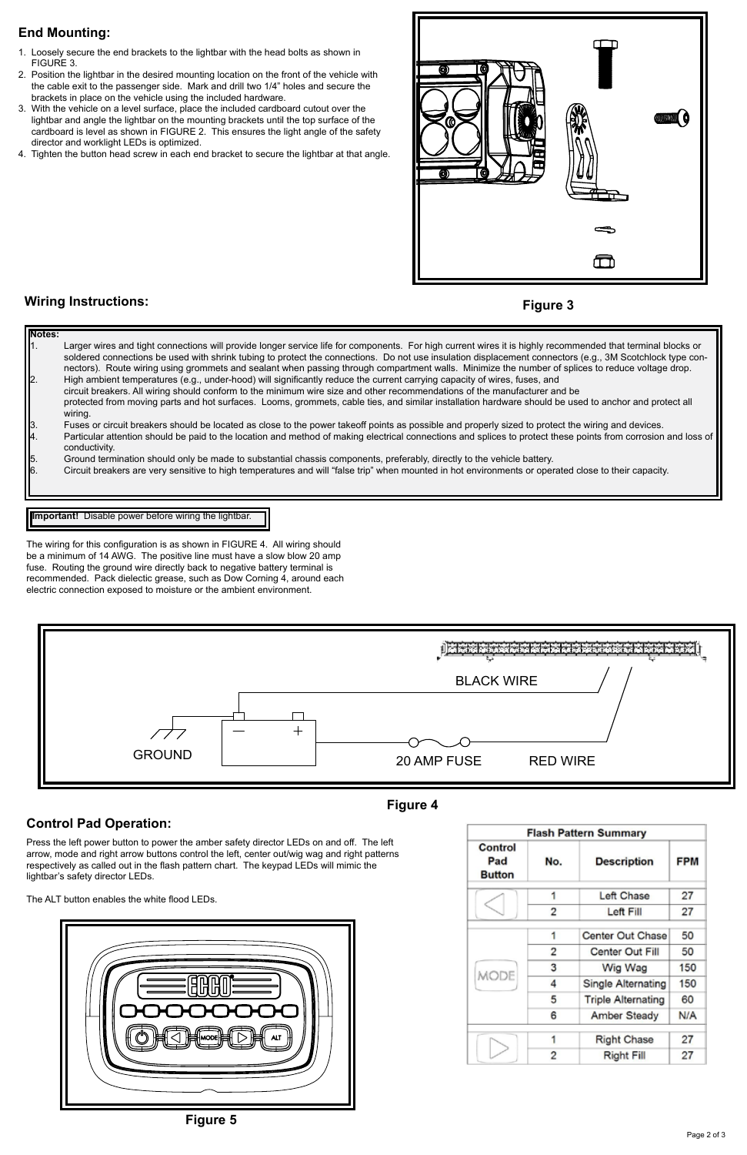## **End Mounting:**

- 1. Loosely secure the end brackets to the lightbar with the head bolts as shown in FIGURE 3.
- 2. Position the lightbar in the desired mounting location on the front of the vehicle with the cable exit to the passenger side. Mark and drill two 1/4" holes and secure the brackets in place on the vehicle using the included hardware.
- 3. With the vehicle on a level surface, place the included cardboard cutout over the lightbar and angle the lightbar on the mounting brackets until the top surface of the cardboard is level as shown in FIGURE 2. This ensures the light angle of the safety director and worklight LEDs is optimized.
- 4. Tighten the button head screw in each end bracket to secure the lightbar at that angle.



### **Wiring Instructions:**

#### **Figure 3**

**Notes:** Larger wires and tight connections will provide longer service life for components. For high current wires it is highly recommended that terminal blocks or soldered connections be used with shrink tubing to protect the connections. Do not use insulation displacement connectors (e.g., 3M Scotchlock type connectors). Route wiring using grommets and sealant when passing through compartment walls. Minimize the number of splices to reduce voltage drop. 2. High ambient temperatures (e.g., under-hood) will significantly reduce the current carrying capacity of wires, fuses, and circuit breakers. All wiring should conform to the minimum wire size and other recommendations of the manufacturer and be protected from moving parts and hot surfaces. Looms, grommets, cable ties, and similar installation hardware should be used to anchor and protect all wiring. Fuses or circuit breakers should be located as close to the power takeoff points as possible and properly sized to protect the wiring and devices. Particular attention should be paid to the location and method of making electrical connections and splices to protect these points from corrosion and loss of conductivity. 5. Ground termination should only be made to substantial chassis components, preferably, directly to the vehicle battery. 6. Circuit breakers are very sensitive to high temperatures and will "false trip" when mounted in hot environments or operated close to their capacity.

#### **Important!** Disable power before wiring the lightbar.

The wiring for this configuration is as shown in FIGURE 4. All wiring should be a minimum of 14 AWG. The positive line must have a slow blow 20 amp fuse. Routing the ground wire directly back to negative battery terminal is recommended. Pack dielectic grease, such as Dow Corning 4, around each electric connection exposed to moisture or the ambient environment.



#### **Control Pad Operation:**

Press the left power button to power the amber safety director LEDs on and off. The left arrow, mode and right arrow buttons control the left, center out/wig wag and right patterns respectively as called out in the flash pattern chart. The keypad LEDs will mimic the lightbar's safety director LEDs.

The ALT button enables the white flood LEDs.



### **Figure 4**

| <b>Flash Pattern Summary</b>    |                |                           |            |
|---------------------------------|----------------|---------------------------|------------|
| Control<br>Pad<br><b>Button</b> | No.            | <b>Description</b>        | <b>FPM</b> |
|                                 | 1              | Left Chase                | 27         |
|                                 | 2              | Left Fill                 | 27         |
| <b>MODE</b>                     | 1              | Center Out Chase          | 50         |
|                                 | $\overline{2}$ | Center Out Fill           | 50         |
|                                 | 3              | Wig Wag                   | 150        |
|                                 | 4              | Single Alternating        | 150        |
|                                 | 5              | <b>Triple Alternating</b> | 60         |
|                                 | 6              | <b>Amber Steady</b>       | N/A        |
|                                 | 1              | <b>Right Chase</b>        | 27         |
|                                 | $\overline{2}$ | <b>Right Fill</b>         | 27         |

**Figure 5**